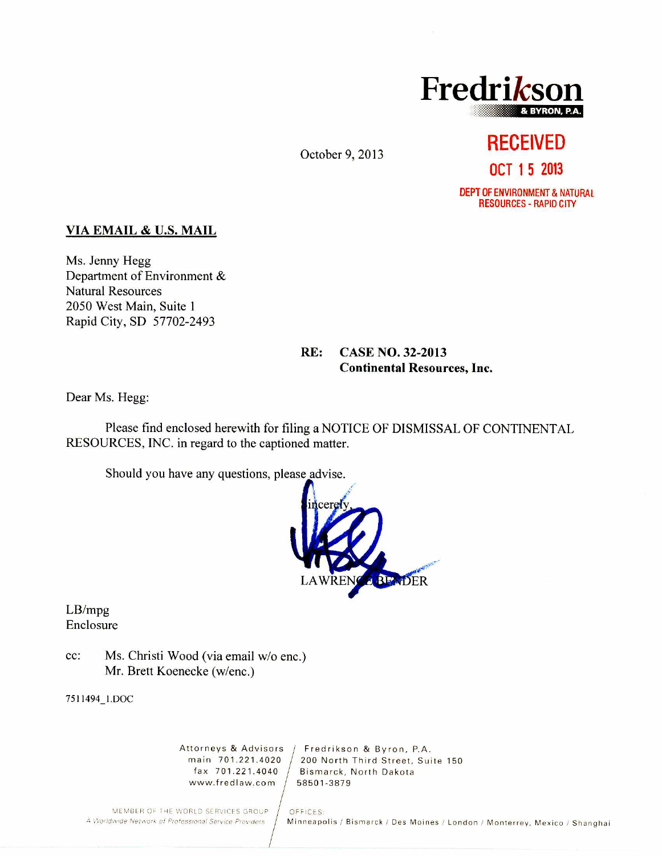

October 9, 2013

# **RECEIVED OCT 1 5 2013**

DEPT OF ENVIRONMENT & NATURAL RESOURCES - RAPID CITY

### **VIA EMAIL & U.S. MAIL**

Ms. Jenny Hegg Department of Environment & Natural Resources 2050 West Main, Suite 1 Rapid City, SD 57702-2493

### **RE: CASE NO. 32-2013 Continental Resources, Inc.**

Dear Ms. Hegg:

Please find enclosed herewith for filing a NOTICE OF DISMISSAL OF CONTINENTAL RESOURCES, INC. in regard to the captioned matter.

Should you have any questions, please advise.



LB/mpg Enclosure

cc: Ms. Christi Wood (via email w/o enc.) Mr. Brett Koenecke (w/enc.)

7511494\_1.1)0C

www.fredlaw.com 58501-3879

Attorneys & Advisors | Fredrikson & Byron, P.A.<br>main 701.221.4020 | 200 North Third Street. Sui nain 701.221.4020  $/$  200 North Third Street, Suite 150 fax 701.221.4040  $/$  Bismarck, North Dakota Bismarck, North Dakota<br>58501-3879

MEMBER OF THE WORLD SERVICES GROUP | OFFICES:<br>A Worldwide Network of Professional Service Providers | Minneapo

Minneapolis / Bismarck / Des Moines / London / Monterrey, Mexico / Shanghai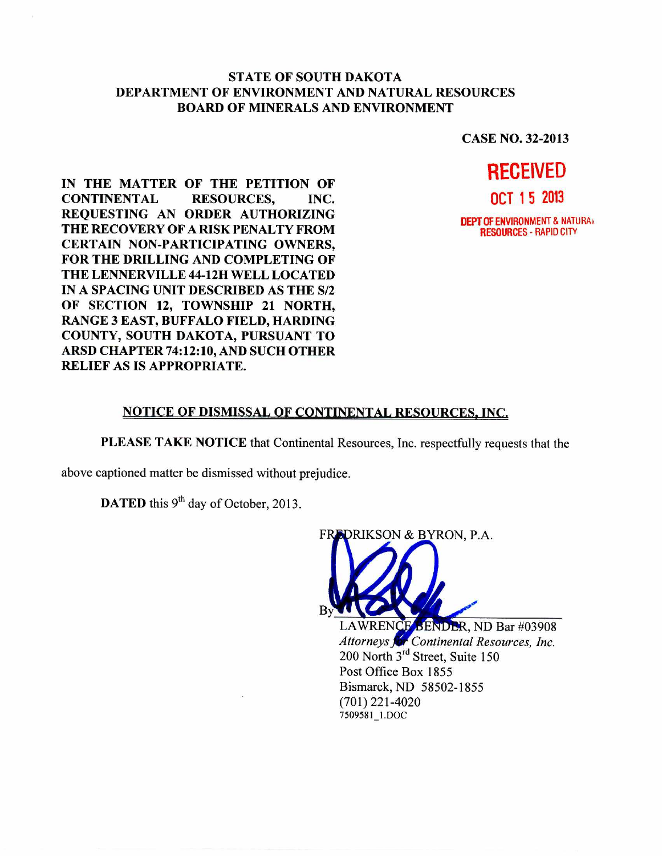#### **STATE OF SOUTH DAKOTA DEPARTMENT OF ENVIRONMENT AND NATURAL RESOURCES BOARD OF MINERALS AND ENVIRONMENT**

**CASE NO. 32-2013** 

**IN THE MATTER OF THE PETITION OF CONTINENTAL RESOURCES, INC. REQUESTING AN ORDER AUTHORIZING THE RECOVERY OF A RISK PENALTY FROM CERTAIN NON-PARTICIPATING OWNERS, FOR THE DRILLING AND COMPLETING OF THE LENNERVILLE 44-12H WELL LOCATED IN A SPACING UNIT DESCRIBED AS THE S/2 OF SECTION 12, TOWNSHIP 21 NORTH, RANGE 3 EAST, BUFFALO FIELD, HARDING COUNTY, SOUTH DAKOTA, PURSUANT TO ARSD CHAPTER 74:12:10, AND SUCH OTHER RELIEF AS IS APPROPRIATE.** 



#### **NOTICE OF DISMISSAL OF CONTINENTAL RESOURCES, INC.**

**PLEASE TAKE NOTICE** that Continental Resources, Inc. respectfully requests that the

above captioned matter be dismissed without prejudice.

**DATED** this  $9<sup>th</sup>$  day of October, 2013.



LAWRENCE BENDER, ND Bar #03908 *Attorneys Continental Resources, Inc.*  200 North  $3<sup>rd</sup>$  Street, Suite 150 Post Office Box 1855 Bismarck, ND 58502-1855 (701) 221-4020 7509581\_1. DOC